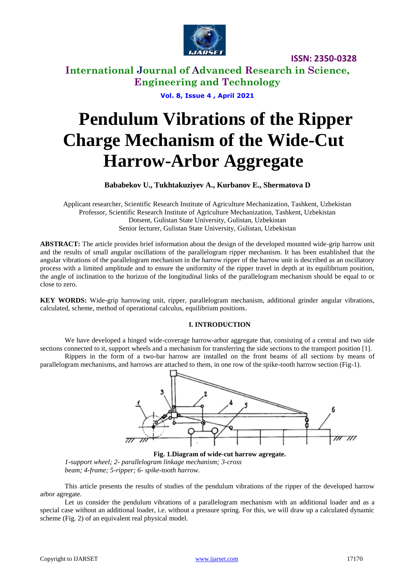

## **International Journal of Advanced Research in Science, Engineering and Technology**

**Vol. 8, Issue 4 , April 2021**

# **Pendulum Vibrations of the Ripper Charge Mechanism of the Wide-Cut Harrow-Arbor Aggregate**

#### **Bababekov U., Tukhtakuziyev A., Kurbanov E., Shermatova D**

Applicant researcher, Scientific Research Institute of Agriculture Mechanization, Tashkent, Uzbekistan Professor, Scientific Research Institute of Agriculture Mechanization, Tashkent, Uzbekistan Dotsent, Gulistan State University, Gulistan, Uzbekistan Senior lecturer, Gulistan State University, Gulistan, Uzbekistan

**ABSTRACT:** The article provides brief information about the design of the developed mounted wide-grip harrow unit and the results of small angular oscillations of the parallelogram ripper mechanism. It has been established that the angular vibrations of the parallelogram mechanism in the harrow ripper of the harrow unit is described as an oscillatory process with a limited amplitude and to ensure the uniformity of the ripper travel in depth at its equilibrium position, the angle of inclination to the horizon of the longitudinal links of the parallelogram mechanism should be equal to or close to zero.

**KEY WORDS:** Wide-grip harrowing unit, ripper, parallelogram mechanism, additional grinder angular vibrations, calculated, scheme, method of operational calculus, equilibrium positions.

#### **I. INTRODUCTION**

We have developed a hinged wide-coverage harrow-arbor aggregate that, consisting of a central and two side sections connected to it, support wheels and a mechanism for transferring the side sections to the transport position [1].

Rippers in the form of a two-bar harrow are installed on the front beams of all sections by means of parallelogram mechanisms, and harrows are attached to them, in one row of the spike-tooth harrow section (Fig-1).



**Fig. 1.Diagram of wide-cut harrow agregate.** *1-support wheel; 2- parallelogram linkage mechanism; 3-cross beam; 4-frame; 5-ripper; 6- spike-tooth harrow.*

This article presents the results of studies of the pendulum vibrations of the ripper of the developed harrow arbor agregate.

Let us consider the pendulum vibrations of a parallelogram mechanism with an additional loader and as a special case without an additional loader, i.e. without a pressure spring. For this, we will draw up a calculated dynamic scheme (Fig. 2) of an equivalent real physical model.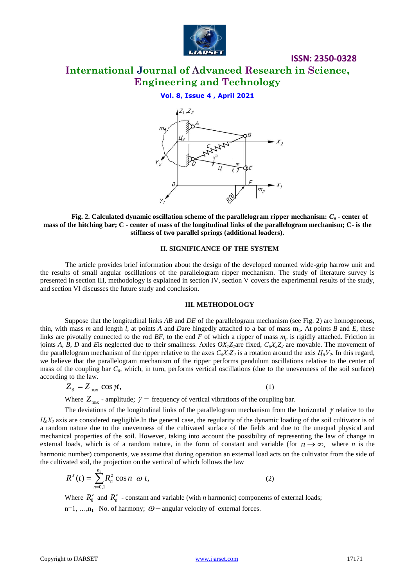

# **International Journal of Advanced Research in Science, Engineering and Technology**

**ISSN: 2350-0328**

#### **Vol. 8, Issue 4 , April 2021**



**Fig. 2. Calculated dynamic oscillation scheme of the parallelogram ripper mechanism:**  $C_{\delta}$  **- center of mass of the hitching bar; C - center of mass of the longitudinal links of the parallelogram mechanism; C- is the stiffness of two parallel springs (additional loaders).**

#### **II. SIGNIFICANCE OF THE SYSTEM**

The article provides brief information about the design of the developed mounted wide-grip harrow unit and the results of small angular oscillations of the parallelogram ripper mechanism. The study of literature survey is presented in section III, methodology is explained in section IV, section V covers the experimental results of the study, and section VI discusses the future study and conclusion.

#### **III. METHODOLOGY**

Suppose that the longitudinal links *AB* and *DE* of the parallelogram mechanism (see Fig. 2) are homogeneous, thin, with mass *m* and length *l*, at points *A* and *Dare* hingedly attached to a bar of mass  $m_h$ . At points *B* and *E*, these links are pivotally connected to the rod *BF*, to the end *F* of which a ripper of mass *m<sup>p</sup>* is rigidly attached. Friction in joints *A, B, D* and *E*is neglected due to their smallness. Axles *OX1Z1*are fixed, *CбХ2Z<sup>2</sup>* are movable. The movement of the parallelogram mechanism of the ripper relative to the axes  $C_6X_2Z_2$  is a rotation around the axis  $H_6Y_2$ . In this regard, we believe that the parallelogram mechanism of the ripper performs pendulum oscillations relative to the center of mass of the coupling bar *Cб*, which, in turn, performs vertical oscillations (due to the unevenness of the soil surface) according to the law.

$$
Z_{\delta} = Z_{\text{max}} \cos \gamma t, \tag{1}
$$

Where  $Z_{\text{max}}$  - amplitude;  $\gamma$  - frequency of vertical vibrations of the coupling bar.

The deviations of the longitudinal links of the parallelogram mechanism from the horizontal  $\gamma$  relative to the  $I_6X_2$  axis are considered negligible.In the general case, the regularity of the dynamic loading of the soil cultivator is of a random nature due to the unevenness of the cultivated surface of the fields and due to the unequal physical and mechanical properties of the soil. However, taking into account the possibility of representing the law of change in external loads, which is of a random nature, in the form of constant and variable (for  $n \to \infty$ , where *n* is the harmonic number) components, we assume that during operation an external load acts on the cultivator from the side of the cultivated soil, the projection on the vertical of which follows the law

$$
R^{z}(t) = \sum_{n=0,1}^{n_1} R_n^{z} \cos n \quad \omega \ t,
$$
 (2)

Where  $R_0^z$  and  $R_n^z$  - constant and variable (with *n* harmonic) components of external loads;  $n=1, ..., n_1-N_0$  of harmony;  $\omega$  - angular velocity of external forces.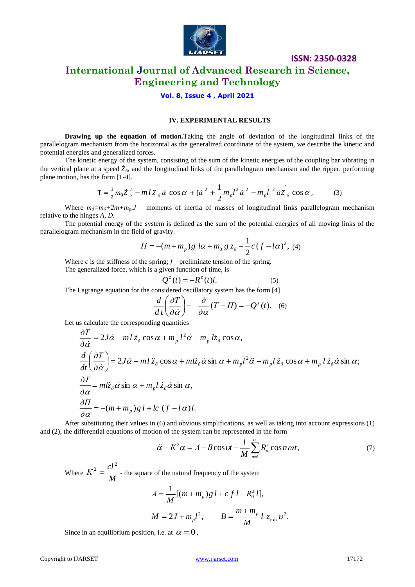

## **International Journal of Advanced Research in Science, Engineering and Technology**

#### **Vol. 8, Issue 4 , April 2021**

#### **IV. EXPERIMENTAL RESULTS**

**Drawing up the equation of motion.**Taking the angle of deviation of the longitudinal links of the parallelogram mechanism from the horizontal as the generalized coordinate of the system, we describe the kinetic and potential energies and generalized forces.

The kinetic energy of the system, consisting of the sum of the kinetic energies of the coupling bar vibrating in the vertical plane at a speed  $\dot{Z}_6$ , and the longitudinal links of the parallelogram mechanism and the ripper, performing plane motion, has the form [1-4].

$$
T = \frac{1}{2}m_0 Z_{\delta}^2 - m l Z_{\delta} \dot{\alpha} \cos \alpha + J \dot{\alpha}^2 + \frac{1}{2}m_p l^2 \dot{\alpha}^2 - m_p l^2 \dot{\alpha} Z_{\delta} \cos \alpha, \qquad (3)
$$

Where  $m_0 = m_0 + 2m + m_p J$  – moments of inertia of masses of longitudinal links parallelogram mechanism relative to the hinges *A, D*.

The potential energy of the system is defined as the sum of the potential energies of all moving links of the parallelogram mechanism in the field of gravity.

$$
\Pi = -(m + m_p)g \, l\alpha + m_0 \, g \, z_\delta + \frac{1}{2}c(f - l\alpha)^2, \, (4)
$$

Where  $c$  is the stiffness of the spring;  $f$  – preliminate tension of the spring. The generalized force, which is a given function of time, is

$$
Q^{z}(t) = -R^{z}(t)l.
$$
 (5)

The Lagrange equation for the considered oscillatory system has the form [4]

$$
\frac{d}{dt}\left(\frac{\partial T}{\partial \dot{\alpha}}\right) - \frac{\partial}{\partial \alpha}(T - \Pi) = -Q^{z}(t). \quad (6)
$$

Let us calculate the corresponding quantities

$$
\frac{\partial T}{\partial \dot{\alpha}} = 2J\dot{\alpha} - m l \dot{z}_{\delta} \cos \alpha + m_p l^2 \dot{\alpha} - m_p l \dot{z}_{\delta} \cos \alpha,
$$
\n
$$
\frac{d}{dt} \left( \frac{\partial T}{\partial \dot{\alpha}} \right) = 2J\ddot{\alpha} - m l \ddot{z}_{\delta} \cos \alpha + m l \dot{z}_{\delta} \dot{\alpha} \sin \alpha + m_p l^2 \ddot{\alpha} - m_p l \ddot{z}_{\delta} \cos \alpha + m_p l \dot{z}_{\delta} \dot{\alpha} \sin \alpha;
$$
\n
$$
\frac{\partial T}{\partial \alpha} = m l \dot{z}_{\delta} \dot{\alpha} \sin \alpha + m_p l \dot{z}_{\delta} \dot{\alpha} \sin \alpha,
$$
\n
$$
\frac{\partial H}{\partial \alpha} = -(m + m_p) g l + lc (f - l \alpha) l.
$$

After substituting their values in (6) and obvious simplifications, as well as taking into account expressions (1) and (2), the differential equations of motion of the system can be represented in the form

$$
\ddot{\alpha} + K^2 \alpha = A - B \cos \omega t - \frac{l}{M} \sum_{n=1}^{n_1} R_n^z \cos n \omega t, \tag{7}
$$

Where  $K^2 = \frac{N}{M}$  $K^2 = \frac{cl^2}{\sigma^2}$  - the square of the natural frequency of the system

$$
A = \frac{1}{M} [(m + m_p) g l + c f l - R_0^z l],
$$
  

$$
M = 2J + m_p l^2, \qquad B = \frac{m + m_p}{M} l z_{\text{max}} v^2.
$$

Since in an equilibrium position, i.e. at  $\alpha = 0$ ,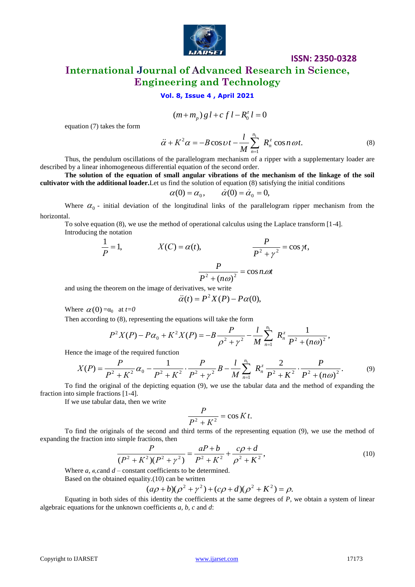

# **International Journal of Advanced Research in Science, Engineering and Technology**

#### **Vol. 8, Issue 4 , April 2021**

$$
(m+m_p)\,g\,l+c\,f\,l-R_0^z\,l=0
$$

equation (7) takes the form

$$
\ddot{\alpha} + K^2 \alpha = -B \cos \nu t - \frac{l}{M} \sum_{n=1}^{n_1} R_n^z \cos n \omega t.
$$
 (8)

**ISSN: 2350-0328**

Thus, the pendulum oscillations of the parallelogram mechanism of a ripper with a supplementary loader are described by a linear inhomogeneous differential equation of the second order.

**The solution of the equation of small angular vibrations of the mechanism of the linkage of the soil cultivator with the additional loader.**Let us find the solution of equation (8) satisfying the initial conditions

$$
\alpha(0) = \alpha_0, \qquad \dot{\alpha}(0) = \dot{\alpha}_0 = 0,
$$

Where  $\alpha_0$  - initial deviation of the longitudinal links of the parallelogram ripper mechanism from the horizontal.

To solve equation (8), we use the method of operational calculus using the Laplace transform [1-4]. Introducing the notation

equation (7) takes the form  
\n
$$
(m+m_p) g l + c f l - R_0^2 l = 0
$$
  
\nequation (7) takes the form  
\n $\ddot{\alpha} + K^2 \alpha = -B \cos t J - \frac{l}{M} \sum_{n=1}^{\infty} R_n^2 \cos n \omega t$ .  
\nThus, the pendulum oscillations of the parallelogram mechanism of a ripper with a supplementary loade  
\ndescribed by a linear inhomogeneous differential equation of the second order  
\nThe solution of the equation of small angular vibrations of the mechanism of the linkage of the  
\ncultitator with the additional lander. Let us find the solution of equation (8) satisfying the initial conditions  
\n $\alpha(0) = \alpha_0$ ,  $\alpha(0) = \alpha_0 = 0$ ,  
\nWhere  $\alpha_0$  - initial deviation of the longitudinal links of the parallelogram ripper mechanism from  
\nhorizontal.  
\n $\frac{P}{P} = 1$ ,  $X(C) = \alpha(t)$ ,  $\frac{P}{P^2 + \gamma^2} = \cos n$ ,  
\nand using the theorem on the image of derivatives, we write  
\n $\ddot{\alpha}(t) = P^2 X (P) - P \alpha(0)$ ,  
\nWhere  $\alpha(0) = \alpha_0$  at  $t=0$   
\nThen according to (8), representing the equations will take the form  
\n $P^2 X (P) - P \alpha_0 + K^2 X (P) = -B \frac{P}{P^2 + \gamma^2} - \frac{l}{M} \sum_{n=1}^{\infty} R_n^2 \frac{1}{P^2 + (n\omega)^2}$ ,  
\nHence the image of the required function  
\n $X (P) = \frac{P}{P^2 + K^2} \alpha_0 - \frac{1}{P^2 + K^2} \cdot \frac{P}{P^2 + \gamma^2} B - \frac{l}{M} \sum_{n=1}^{\infty} \frac{P_n}{R_n^2} \frac{2}{P^2 + K^2} \cdot \frac{P}{P^2 + (n\omega)^2}$ .  
\nTo find the original of the depicted equation (9), we use the tabular data and the method of expanding  
\nfraction into simple fractions [1-4],  
\nIf we use tabular data, then we write  
\n $\frac{P}{P^2 + K^2} = \cos K t$ .  
\nTo find the original of the second and third terms of the representing equation (9), we use the method  
\nexpanding the fraction into simple functions, then  
\n $\frac{P}{(P^2 + K^2)(P^2 + \gamma^$ 

and using the theorem on the image of derivatives, we write

$$
\ddot{\alpha}(t) = P^2 X(P) - P\alpha(0),
$$

Where  $\alpha(0) = \alpha_0$  at  $t=0$ 

Then according to (8), representing the equations will take the form

$$
P^{2}X(P) - P\alpha_{0} + K^{2}X(P) = -B\frac{P}{\rho^{2} + \gamma^{2}} - \frac{l}{M}\sum_{n=1}^{n_{1}} R_{n}^{z} \frac{1}{P^{2} + (n\omega)^{2}},
$$

Hence the image of the required function

$$
X(P) = \frac{P}{P^2 + K^2} \alpha_0 - \frac{1}{P^2 + K^2} \cdot \frac{P}{P^2 + \gamma^2} B - \frac{l}{M} \sum_{n=1}^{n_1} R_n^z \frac{2}{P^2 + K^2} \cdot \frac{P}{P^2 + (n\omega)^2}.
$$
 (9)

To find the original of the depicting equation (9), we use the tabular data and the method of expanding the fraction into simple fractions [1-4].

If we use tabular data, then we write

$$
\frac{P}{P^2 + K^2} = \cos K t.
$$

To find the originals of the second and third terms of the representing equation (9), we use the method of expanding the fraction into simple fractions, then

$$
\frac{P}{(P^2 + K^2)(P^2 + \gamma^2)} = \frac{aP + b}{P^2 + K^2} + \frac{c\rho + d}{\rho^2 + K^2},\tag{10}
$$

Where *a*, *<i><i>e*, cand *d* – constant coefficients to be determined.

Based on the obtained equality.(10) can be written

$$
(a\rho + b)(\rho^{2} + \gamma^{2}) + (c\rho + d)(\rho^{2} + K^{2}) = \rho.
$$

Equating in both sides of this identity the coefficients at the same degrees of *P*, we obtain a system of linear algebraic equations for the unknown coefficients *a, b, c* and *d*: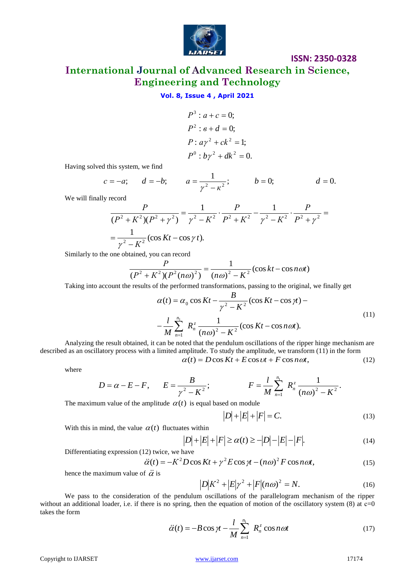

**International Journal of Advanced Research in Science, Engineering and Technology**

#### **Vol. 8, Issue 4 , April 2021**

$$
P3: a + c = 0;
$$
  
\n
$$
P2: e + d = 0;
$$
  
\n
$$
P: a\gamma2 + ck2 = 1;
$$
  
\n
$$
P0: b\gamma2 + dk2 = 0.
$$

Having solved this system, we find

$$
c = -a;
$$
  $d = -b;$   $a = \frac{1}{\gamma^2 - \kappa^2};$   $b = 0;$   $d = 0.$ 

We will finally record

$$
\frac{P}{(P^2 + K^2)(P^2 + \gamma^2)} = \frac{1}{\gamma^2 - K^2} \cdot \frac{P}{P^2 + K^2} - \frac{1}{\gamma^2 - K^2} \cdot \frac{P}{P^2 + \gamma^2} = \frac{1}{\gamma^2 - K^2} (\cos Kt - \cos \gamma t).
$$

Similarly to the one obtained, you can record

btiained, you can record  
\n
$$
\frac{P}{(P^2 + K^2)(P^2(n\omega)^2)} = \frac{1}{(n\omega)^2 - K^2} (\cos kt - \cos n\omega t)
$$

Taking into account the results of the performed transformations, passing to the original, we finally get

$$
\alpha(t) = \alpha_0 \cos Kt - \frac{B}{\gamma^2 - K^2} (\cos Kt - \cos \gamma t) -
$$
  

$$
-\frac{l}{M} \sum_{n=1}^{n_1} R_n^z \frac{1}{(n\omega)^2 - K^2} (\cos Kt - \cos n\omega t).
$$
 (11)

Analyzing the result obtained, it can be noted that the pendulum oscillations of the ripper hinge mechanism are described as an oscillatory process with a limited amplitude. To study the amplitude, we transform (11) in the form  $\alpha(t) = D\cos Kt + E\cos \nu t + F\cos n\omega t,$  (12)

$$
D = \alpha - E - F, \qquad E = \frac{B}{\gamma^2 - K^2}; \qquad F = \frac{l}{M} \sum_{n=1}^{n_1} R_n^z \frac{1}{(n\omega)^2 - K^2}.
$$

The maximum value of the amplitude  $\alpha(t)$  is equal based on module

$$
|D| + |E| + |F| = C.
$$
 (13)

With this in mind, the value  $\alpha(t)$  fluctuates within

$$
|D| + |E| + |F| \ge \alpha(t) \ge -|D| - |E| - |F|.
$$
 (14)

Differentiating expression (12) twice, we have

$$
\ddot{\alpha}(t) = -K^2 D \cos K t + \gamma^2 E \cos \gamma t - (n\omega)^2 F \cos n\omega t, \qquad (15)
$$

hence the maximum value of  $\ddot{\alpha}$  is

$$
|D|K^2 + |E|\gamma^2 + |F| (n\omega)^2 = N.
$$
 (16)

We pass to the consideration of the pendulum oscillations of the parallelogram mechanism of the ripper without an additional loader, i.e. if there is no spring, then the equation of motion of the oscillatory system  $(8)$  at  $c=0$ takes the form

$$
\ddot{\alpha}(t) = -B\cos\gamma t - \frac{l}{M}\sum_{n=1}^{n_1} R_n^z \cos n\omega t \tag{17}
$$

where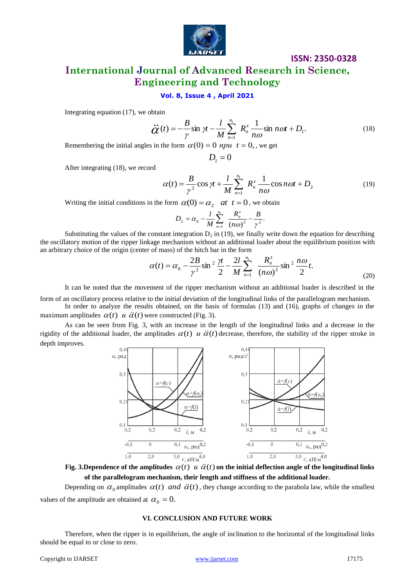

# **International Journal of Advanced Research in Science, Engineering and Technology**

#### **Vol. 8, Issue 4 , April 2021**

Integrating equation (17), we obtain

$$
\ddot{G}(t) = -\frac{B}{\gamma} \sin \gamma t - \frac{l}{M} \sum_{n=1}^{n_1} R_n^z \frac{1}{n\omega} \sin n\omega t + D_1.
$$
 (18)

Remembering the initial angles in the form  $\alpha(0) = 0$  *npu*  $t = 0$ , we get

$$
D_{1}=0
$$

After integrating (18), we record

$$
\alpha(t) = \frac{B}{\gamma^2} \cos \gamma t + \frac{l}{M} \sum_{n=1}^{n_1} R_n^z \frac{1}{n\omega} \cos n\omega t + D_2 \tag{19}
$$

Writing the initial conditions in the form  $\alpha(0) = \alpha_2$  at  $t = 0$ , we obtain

$$
D_2 = \alpha_0 - \frac{l}{M} \sum_{n=1}^{n_1} \frac{R_n^z}{(n\omega)^2} - \frac{B}{\gamma^2}.
$$

Substituting the values of the constant integration  $D_2$  in (19), we finally write down the equation for describing the oscillatory motion of the ripper linkage mechanism without an additional loader about the equilibrium position with an arbitrary choice of the origin (center of mass) of the hitch bar in the form

$$
\alpha(t) = \alpha_0 - \frac{2B}{\gamma^2} \sin^2 \frac{\gamma t}{2} - \frac{2l}{M} \sum_{n=1}^{n_1} \frac{R_n^z}{(n\omega)^2} \sin^2 \frac{n\omega}{2} t.
$$
 (20)

It can be noted that the movement of the ripper mechanism without an additional loader is described in the

form of an oscillatory process relative to the initial deviation of the longitudinal links of the parallelogram mechanism. In order to analyze the results obtained, on the basis of formulas (13) and (16), graphs of changes in the maximum amplitudes  $\alpha(t)$  *u*  $\ddot{\alpha}(t)$  were constructed (Fig. 3).

As can be seen from Fig. 3, with an increase in the length of the longitudinal links and a decrease in the rigidity of the additional loader, the amplitudes  $\alpha(t)$  *u*  $\ddot{\alpha}(t)$  decrease, therefore, the stability of the ripper stroke in depth improves.



Fig. 3.Dependence of the amplitudes  $\alpha(t)$  *u*  $\ddot{\alpha}(t)$  on the initial deflection angle of the longitudinal links **of the parallelogram mechanism, their length and stiffness of the additional loader.**

Depending on  $\alpha_0$  amplitudes  $\alpha(t)$  *and*  $\ddot{\alpha}(t)$ , they change according to the parabola law, while the smallest values of the amplitude are obtained at  $\alpha_0 = 0$ .

#### **VI. CONCLUSION AND FUTURE WORK**

Therefore, when the ripper is in equilibrium, the angle of inclination to the horizontal of the longitudinal links should be equal to or close to zero.